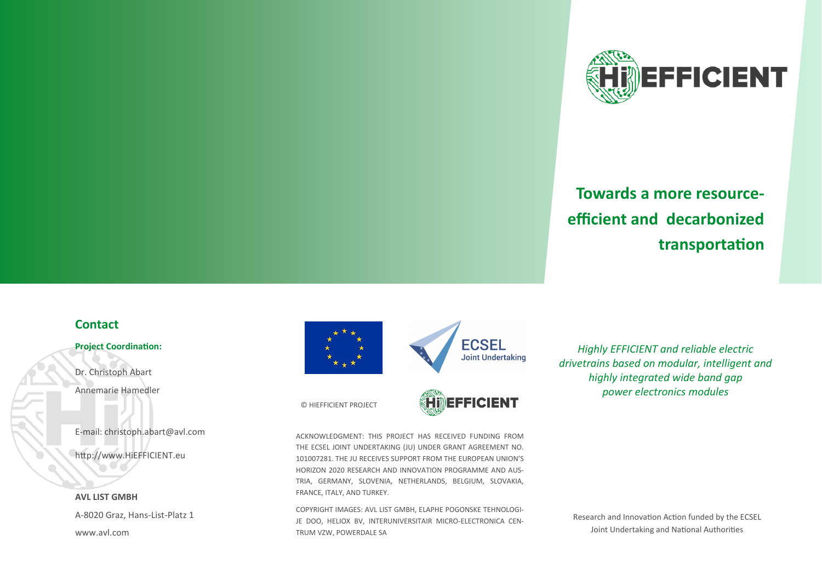

# **Towards a more resourceefficient and decarbonized transportation**

## **Contact**

#### **Project Coordination:**

Dr. Christoph Abart Annemarie Hamedler

E-mail: christoph.abart@avl.com

http://www.HiEFFICIENT.eu

**AVL LIST GMBH** A-8020 Graz, Hans-List-Platz 1 www.avl.com





*Highly EFFICIENT and reliable electric drivetrains based on modular, intelligent and highly integrated wide band gap power electronics modules*

© HIEFFICIENT PROJECT

**imefficient** 

ACKNOWLEDGMENT: THIS PROJECT HAS RECEIVED FUNDING FROM THE ECSEL JOINT UNDERTAKING (JU) UNDER GRANT AGREEMENT NO. 101007281. THE JU RECEIVES SUPPORT FROM THE EUROPEAN UNION'S HORIZON 2020 RESEARCH AND INNOVATION PROGRAMME AND AUS-TRIA, GERMANY, SLOVENIA, NETHERLANDS, BELGIUM, SLOVAKIA, FRANCE, ITALY, AND TURKEY.

COPYRIGHT IMAGES: AVL LIST GMBH, ELAPHE POGONSKE TEHNOLOGI-JE DOO, HELIOX BV, INTERUNIVERSITAIR MICRO-ELECTRONICA CEN-TRUM VZW, POWERDALE SA

Research and Innovation Action funded by the ECSEL Joint Undertaking and National Authorities